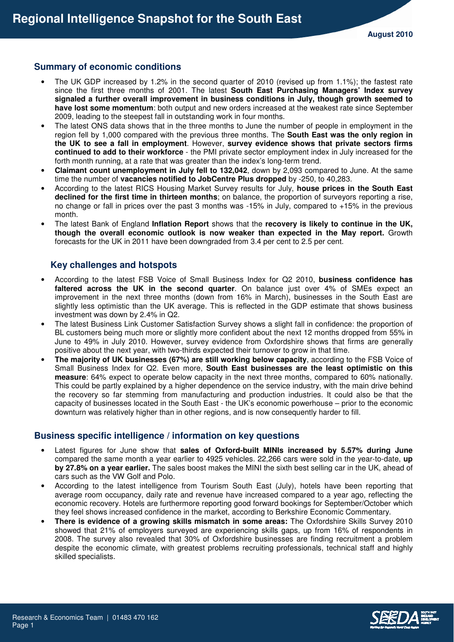# **Summary of economic conditions**

- The UK GDP increased by 1.2% in the second quarter of 2010 (revised up from 1.1%); the fastest rate since the first three months of 2001. The latest **South East Purchasing Managers' Index survey signaled a further overall improvement in business conditions in July, though growth seemed to have lost some momentum**: both output and new orders increased at the weakest rate since September 2009, leading to the steepest fall in outstanding work in four months.
- The latest ONS data shows that in the three months to June the number of people in employment in the region fell by 1,000 compared with the previous three months. The **South East was the only region in the UK to see a fall in employment**. However, **survey evidence shows that private sectors firms continued to add to their workforce** - the PMI private sector employment index in July increased for the forth month running, at a rate that was greater than the index's long-term trend.
- **Claimant count unemployment in July fell to 132,042**, down by 2,093 compared to June. At the same time the number of **vacancies notified to JobCentre Plus dropped** by -250, to 40,283.
- According to the latest RICS Housing Market Survey results for July, **house prices in the South East declined for the first time in thirteen months**; on balance, the proportion of surveyors reporting a rise, no change or fall in prices over the past 3 months was -15% in July, compared to +15% in the previous month.
- The latest Bank of England **Inflation Report** shows that the **recovery is likely to continue in the UK, though the overall economic outlook is now weaker than expected in the May report.** Growth forecasts for the UK in 2011 have been downgraded from 3.4 per cent to 2.5 per cent.

# **Key challenges and hotspots**

- According to the latest FSB Voice of Small Business Index for Q2 2010, **business confidence has faltered across the UK in the second quarter**. On balance just over 4% of SMEs expect an improvement in the next three months (down from 16% in March), businesses in the South East are slightly less optimistic than the UK average. This is reflected in the GDP estimate that shows business investment was down by 2.4% in Q2.
- The latest Business Link Customer Satisfaction Survey shows a slight fall in confidence: the proportion of BL customers being much more or slightly more confident about the next 12 months dropped from 55% in June to 49% in July 2010. However, survey evidence from Oxfordshire shows that firms are generally positive about the next year, with two-thirds expected their turnover to grow in that time.
- **The majority of UK businesses (67%) are still working below capacity**, according to the FSB Voice of Small Business Index for Q2. Even more, **South East businesses are the least optimistic on this measure**: 64% expect to operate below capacity in the next three months, compared to 60% nationally. This could be partly explained by a higher dependence on the service industry, with the main drive behind the recovery so far stemming from manufacturing and production industries. It could also be that the capacity of businesses located in the South East - the UK's economic powerhouse – prior to the economic downturn was relatively higher than in other regions, and is now consequently harder to fill.

# **Business specific intelligence / information on key questions**

- Latest figures for June show that **sales of Oxford-built MINIs increased by 5.57% during June** compared the same month a year earlier to 4925 vehicles. 22,266 cars were sold in the year-to-date, **up by 27.8% on a year earlier.** The sales boost makes the MINI the sixth best selling car in the UK, ahead of cars such as the VW Golf and Polo.
- According to the latest intelligence from Tourism South East (July), hotels have been reporting that average room occupancy, daily rate and revenue have increased compared to a year ago, reflecting the economic recovery. Hotels are furthermore reporting good forward bookings for September/October which they feel shows increased confidence in the market, according to Berkshire Economic Commentary.
- **There is evidence of a growing skills mismatch in some areas:** The Oxfordshire Skills Survey 2010 showed that 21% of employers surveyed are experiencing skills gaps, up from 16% of respondents in 2008. The survey also revealed that 30% of Oxfordshire businesses are finding recruitment a problem despite the economic climate, with greatest problems recruiting professionals, technical staff and highly skilled specialists.

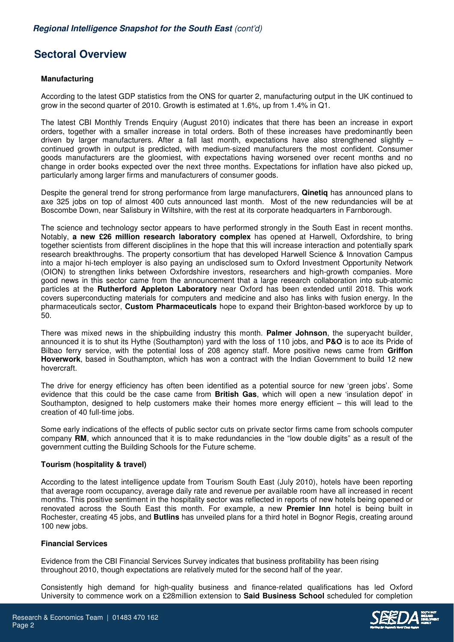# **Sectoral Overview**

## **Manufacturing**

According to the latest GDP statistics from the ONS for quarter 2, manufacturing output in the UK continued to grow in the second quarter of 2010. Growth is estimated at 1.6%, up from 1.4% in Q1.

The latest CBI Monthly Trends Enquiry (August 2010) indicates that there has been an increase in export orders, together with a smaller increase in total orders. Both of these increases have predominantly been driven by larger manufacturers. After a fall last month, expectations have also strengthened slightly – continued growth in output is predicted, with medium-sized manufacturers the most confident. Consumer goods manufacturers are the gloomiest, with expectations having worsened over recent months and no change in order books expected over the next three months. Expectations for inflation have also picked up, particularly among larger firms and manufacturers of consumer goods.

Despite the general trend for strong performance from large manufacturers, **Qinetiq** has announced plans to axe 325 jobs on top of almost 400 cuts announced last month. Most of the new redundancies will be at Boscombe Down, near Salisbury in Wiltshire, with the rest at its corporate headquarters in Farnborough.

The science and technology sector appears to have performed strongly in the South East in recent months. Notably, **a new £26 million research laboratory complex** has opened at Harwell, Oxfordshire, to bring together scientists from different disciplines in the hope that this will increase interaction and potentially spark research breakthroughs. The property consortium that has developed Harwell Science & Innovation Campus into a major hi-tech employer is also paying an undisclosed sum to Oxford Investment Opportunity Network (OION) to strengthen links between Oxfordshire investors, researchers and high-growth companies. More good news in this sector came from the announcement that a large research collaboration into sub-atomic particles at the **Rutherford Appleton Laboratory** near Oxford has been extended until 2018. This work covers superconducting materials for computers and medicine and also has links with fusion energy. In the pharmaceuticals sector, **Custom Pharmaceuticals** hope to expand their Brighton-based workforce by up to 50.

There was mixed news in the shipbuilding industry this month. **Palmer Johnson**, the superyacht builder, announced it is to shut its Hythe (Southampton) yard with the loss of 110 jobs, and **P&O** is to ace its Pride of Bilbao ferry service, with the potential loss of 208 agency staff. More positive news came from **Griffon Hoverwork**, based in Southampton, which has won a contract with the Indian Government to build 12 new hovercraft.

The drive for energy efficiency has often been identified as a potential source for new 'green jobs'. Some evidence that this could be the case came from **British Gas**, which will open a new 'insulation depot' in Southampton, designed to help customers make their homes more energy efficient – this will lead to the creation of 40 full-time jobs.

Some early indications of the effects of public sector cuts on private sector firms came from schools computer company **RM**, which announced that it is to make redundancies in the "low double digits" as a result of the government cutting the Building Schools for the Future scheme.

#### **Tourism (hospitality & travel)**

According to the latest intelligence update from Tourism South East (July 2010), hotels have been reporting that average room occupancy, average daily rate and revenue per available room have all increased in recent months. This positive sentiment in the hospitality sector was reflected in reports of new hotels being opened or renovated across the South East this month. For example, a new **Premier Inn** hotel is being built in Rochester, creating 45 jobs, and **Butlins** has unveiled plans for a third hotel in Bognor Regis, creating around 100 new jobs.

#### **Financial Services**

Evidence from the CBI Financial Services Survey indicates that business profitability has been rising throughout 2010, though expectations are relatively muted for the second half of the year.

Consistently high demand for high-quality business and finance-related qualifications has led Oxford University to commence work on a £28million extension to **Said Business School** scheduled for completion

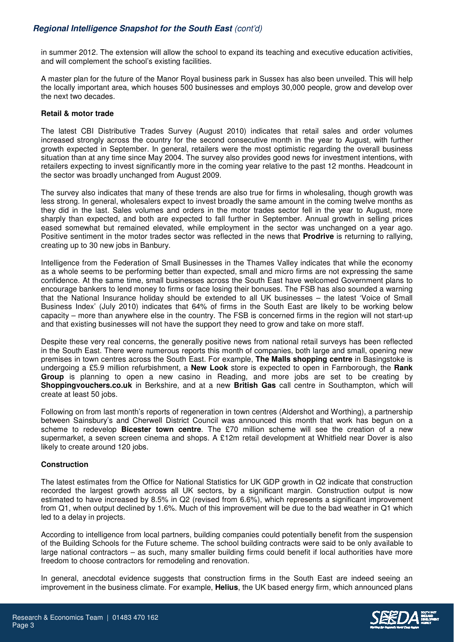in summer 2012. The extension will allow the school to expand its teaching and executive education activities, and will complement the school's existing facilities.

A master plan for the future of the Manor Royal business park in Sussex has also been unveiled. This will help the locally important area, which houses 500 businesses and employs 30,000 people, grow and develop over the next two decades.

### **Retail & motor trade**

The latest CBI Distributive Trades Survey (August 2010) indicates that retail sales and order volumes increased strongly across the country for the second consecutive month in the year to August, with further growth expected in September. In general, retailers were the most optimistic regarding the overall business situation than at any time since May 2004. The survey also provides good news for investment intentions, with retailers expecting to invest significantly more in the coming year relative to the past 12 months. Headcount in the sector was broadly unchanged from August 2009.

The survey also indicates that many of these trends are also true for firms in wholesaling, though growth was less strong. In general, wholesalers expect to invest broadly the same amount in the coming twelve months as they did in the last. Sales volumes and orders in the motor trades sector fell in the year to August, more sharply than expected, and both are expected to fall further in September. Annual growth in selling prices eased somewhat but remained elevated, while employment in the sector was unchanged on a year ago. Positive sentiment in the motor trades sector was reflected in the news that **Prodrive** is returning to rallying, creating up to 30 new jobs in Banbury.

Intelligence from the Federation of Small Businesses in the Thames Valley indicates that while the economy as a whole seems to be performing better than expected, small and micro firms are not expressing the same confidence. At the same time, small businesses across the South East have welcomed Government plans to encourage bankers to lend money to firms or face losing their bonuses. The FSB has also sounded a warning that the National Insurance holiday should be extended to all UK businesses – the latest 'Voice of Small Business Index' (July 2010) indicates that 64% of firms in the South East are likely to be working below capacity – more than anywhere else in the country. The FSB is concerned firms in the region will not start-up and that existing businesses will not have the support they need to grow and take on more staff.

Despite these very real concerns, the generally positive news from national retail surveys has been reflected in the South East. There were numerous reports this month of companies, both large and small, opening new premises in town centres across the South East. For example, **The Malls shopping centre** in Basingstoke is undergoing a £5.9 million refurbishment, a **New Look** store is expected to open in Farnborough, the **Rank Group** is planning to open a new casino in Reading, and more jobs are set to be creating by **Shoppingvouchers.co.uk** in Berkshire, and at a new **British Gas** call centre in Southampton, which will create at least 50 jobs.

Following on from last month's reports of regeneration in town centres (Aldershot and Worthing), a partnership between Sainsbury's and Cherwell District Council was announced this month that work has begun on a scheme to redevelop **Bicester town centre**. The £70 million scheme will see the creation of a new supermarket, a seven screen cinema and shops. A £12m retail development at Whitfield near Dover is also likely to create around 120 jobs.

## **Construction**

The latest estimates from the Office for National Statistics for UK GDP growth in Q2 indicate that construction recorded the largest growth across all UK sectors, by a significant margin. Construction output is now estimated to have increased by 8.5% in Q2 (revised from 6.6%), which represents a significant improvement from Q1, when output declined by 1.6%. Much of this improvement will be due to the bad weather in Q1 which led to a delay in projects.

According to intelligence from local partners, building companies could potentially benefit from the suspension of the Building Schools for the Future scheme. The school building contracts were said to be only available to large national contractors – as such, many smaller building firms could benefit if local authorities have more freedom to choose contractors for remodeling and renovation.

In general, anecdotal evidence suggests that construction firms in the South East are indeed seeing an improvement in the business climate. For example, **Helius**, the UK based energy firm, which announced plans